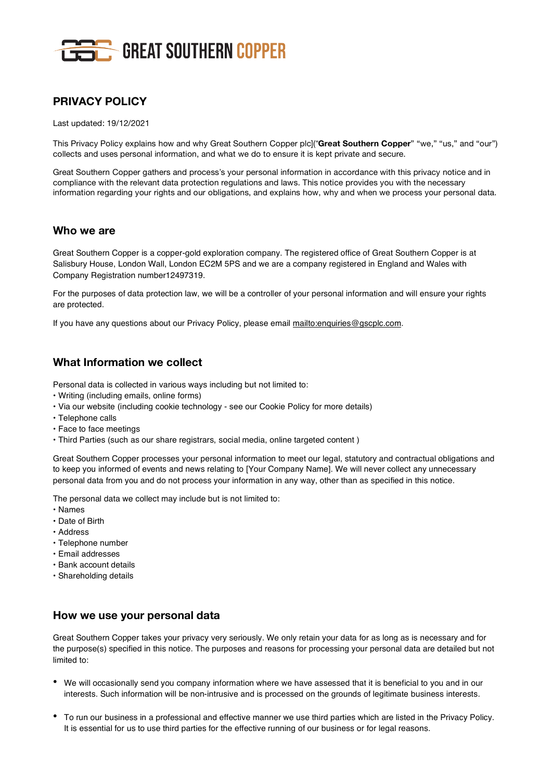

# **PRIVACY POLICY**

Last updated: 19/12/2021

This Privacy Policy explains how and why Great Southern Copper plc]("**Great Southern Copper**" "we," "us," and "our") collects and uses personal information, and what we do to ensure it is kept private and secure.

Great Southern Copper gathers and process's your personal information in accordance with this privacy notice and in compliance with the relevant data protection regulations and laws. This notice provides you with the necessary information regarding your rights and our obligations, and explains how, why and when we process your personal data.

#### **Who we are**

Great Southern Copper is a copper-gold exploration company. The registered office of Great Southern Copper is at Salisbury House, London Wall, London EC2M 5PS and we are a company registered in England and Wales with Company Registration number12497319.

For the purposes of data protection law, we will be a controller of your personal information and will ensure your rights are protected.

If you have any questions about our Privacy Policy, please email mailto:enquiries@gscplc.com.

## **What Information we collect**

Personal data is collected in various ways including but not limited to:

- Writing (including emails, online forms)
- Via our website (including cookie technology see our Cookie Policy for more details)
- Telephone calls
- Face to face meetings
- Third Parties (such as our share registrars, social media, online targeted content )

Great Southern Copper processes your personal information to meet our legal, statutory and contractual obligations and to keep you informed of events and news relating to [Your Company Name]. We will never collect any unnecessary personal data from you and do not process your information in any way, other than as specified in this notice.

The personal data we collect may include but is not limited to:

- Names
- Date of Birth
- Address
- Telephone number
- Email addresses
- Bank account details
- Shareholding details

## **How we use your personal data**

Great Southern Copper takes your privacy very seriously. We only retain your data for as long as is necessary and for the purpose(s) specified in this notice. The purposes and reasons for processing your personal data are detailed but not limited to:

- We will occasionally send you company information where we have assessed that it is beneficial to you and in our interests. Such information will be non-intrusive and is processed on the grounds of legitimate business interests.
- To run our business in <sup>a</sup> professional and effective manner we use third parties which are listed in the Privacy Policy. It is essential for us to use third parties for the effective running of our business or for legal reasons.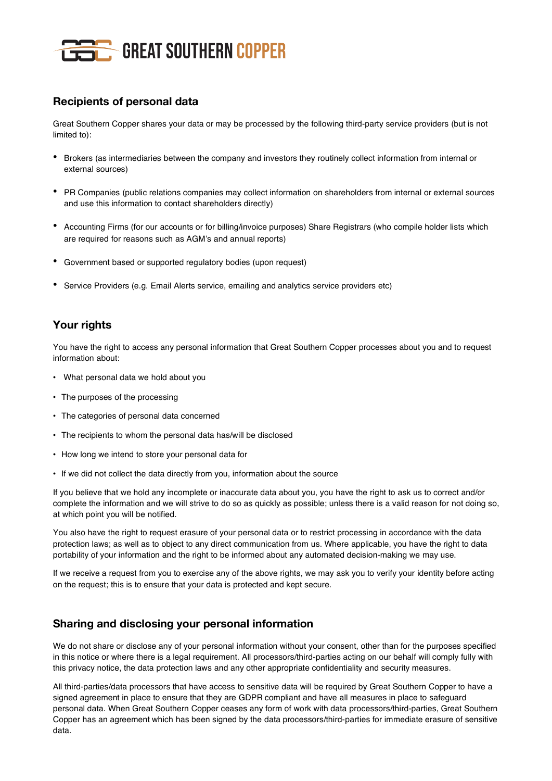

## **Recipients of personal data**

Great Southern Copper shares your data or may be processed by the following third-party service providers (but is not limited to):

- Brokers (as intermediaries between the company and investors they routinely collect information from internal or external sources)
- PR Companies (public relations companies may collect information on shareholders from internal or external sources and use this information to contact shareholders directly)
- Accounting Firms (for our accounts or for billing/invoice purposes) Share Registrars (who compile holder lists which are required for reasons such as AGM's and annual reports)
- Government based or supported regulatory bodies (upon request)
- Service Providers (e.g. Email Alerts service, emailing and analytics service providers etc)

## **Your rights**

You have the right to access any personal information that Great Southern Copper processes about you and to request information about:

- What personal data we hold about you
- The purposes of the processing
- The categories of personal data concerned
- The recipients to whom the personal data has/will be disclosed
- How long we intend to store your personal data for
- If we did not collect the data directly from you, information about the source

If you believe that we hold any incomplete or inaccurate data about you, you have the right to ask us to correct and/or complete the information and we will strive to do so as quickly as possible; unless there is a valid reason for not doing so, at which point you will be notified.

You also have the right to request erasure of your personal data or to restrict processing in accordance with the data protection laws; as well as to object to any direct communication from us. Where applicable, you have the right to data portability of your information and the right to be informed about any automated decision-making we may use.

If we receive a request from you to exercise any of the above rights, we may ask you to verify your identity before acting on the request; this is to ensure that your data is protected and kept secure.

#### **Sharing and disclosing your personal information**

We do not share or disclose any of your personal information without your consent, other than for the purposes specified in this notice or where there is a legal requirement. All processors/third-parties acting on our behalf will comply fully with this privacy notice, the data protection laws and any other appropriate confidentiality and security measures.

All third-parties/data processors that have access to sensitive data will be required by Great Southern Copper to have a signed agreement in place to ensure that they are GDPR compliant and have all measures in place to safeguard personal data. When Great Southern Copper ceases any form of work with data processors/third-parties, Great Southern Copper has an agreement which has been signed by the data processors/third-parties for immediate erasure of sensitive data.